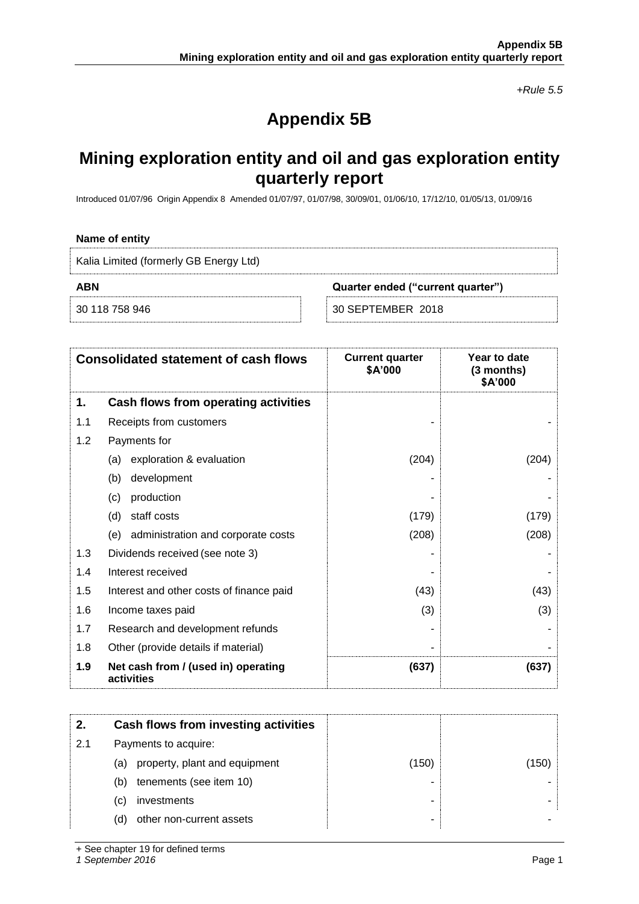*+Rule 5.5*

# **Appendix 5B**

## **Mining exploration entity and oil and gas exploration entity quarterly report**

Introduced 01/07/96 Origin Appendix 8 Amended 01/07/97, 01/07/98, 30/09/01, 01/06/10, 17/12/10, 01/05/13, 01/09/16

### **Name of entity**

Kalia Limited (formerly GB Energy Ltd)

**ABN Quarter ended ("current quarter")**

30 118 758 946 30 SEPTEMBER 2018

| <b>Consolidated statement of cash flows</b> |                                                   | <b>Current quarter</b><br>\$A'000 | Year to date<br>(3 months)<br>\$A'000 |
|---------------------------------------------|---------------------------------------------------|-----------------------------------|---------------------------------------|
| 1.                                          | Cash flows from operating activities              |                                   |                                       |
| 1.1                                         | Receipts from customers                           |                                   |                                       |
| 1.2                                         | Payments for                                      |                                   |                                       |
|                                             | exploration & evaluation<br>(a)                   | (204)                             | (204)                                 |
|                                             | development<br>(b)                                |                                   |                                       |
|                                             | production<br>(c)                                 |                                   |                                       |
|                                             | staff costs<br>(d)                                | (179)                             | (179)                                 |
|                                             | administration and corporate costs<br>(e)         | (208)                             | (208)                                 |
| 1.3                                         | Dividends received (see note 3)                   |                                   |                                       |
| 1.4                                         | Interest received                                 |                                   |                                       |
| 1.5                                         | Interest and other costs of finance paid          | (43)                              | (43)                                  |
| 1.6                                         | Income taxes paid                                 | (3)                               | (3)                                   |
| 1.7                                         | Research and development refunds                  |                                   |                                       |
| 1.8                                         | Other (provide details if material)               |                                   |                                       |
| 1.9                                         | Net cash from / (used in) operating<br>activities | (637)                             | (637)                                 |

| 2.  | Cash flows from investing activities |       |       |
|-----|--------------------------------------|-------|-------|
| 2.1 | Payments to acquire:                 |       |       |
|     | property, plant and equipment<br>(a) | (150) | (150) |
|     | tenements (see item 10)<br>(b)       |       |       |
|     | investments<br>(C)                   |       |       |
|     | other non-current assets<br>(d)      |       |       |

+ See chapter 19 for defined terms

*1 September 2016* Page 1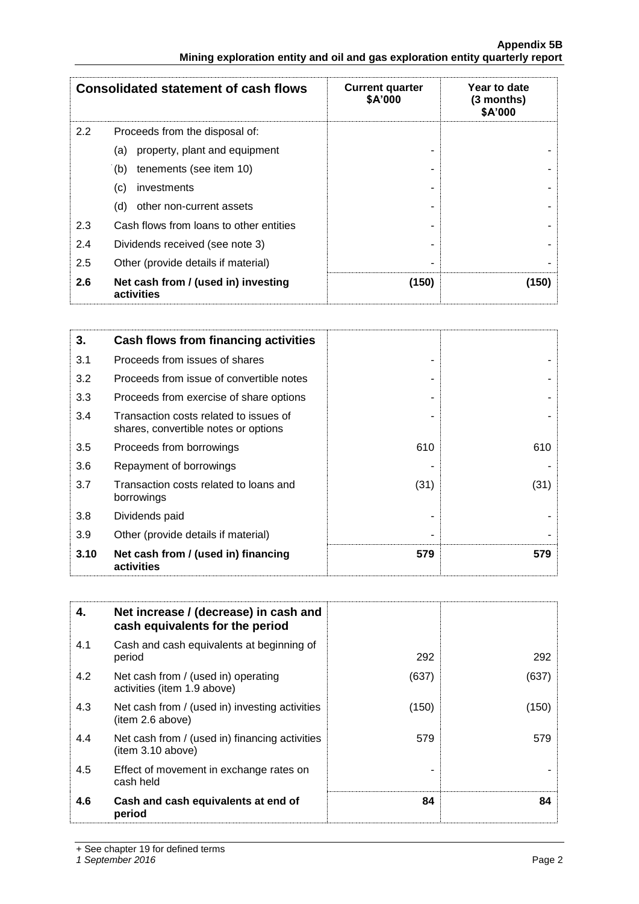|     | <b>Consolidated statement of cash flows</b>       | <b>Current quarter</b><br>\$A'000 | Year to date<br>$(3$ months)<br>\$A'000 |
|-----|---------------------------------------------------|-----------------------------------|-----------------------------------------|
| 2.2 | Proceeds from the disposal of:                    |                                   |                                         |
|     | property, plant and equipment<br>(a)              |                                   |                                         |
|     | tenements (see item 10)<br>(b)                    |                                   |                                         |
|     | investments<br>(c)                                |                                   |                                         |
|     | other non-current assets<br>(d)                   |                                   |                                         |
| 2.3 | Cash flows from loans to other entities           |                                   |                                         |
| 2.4 | Dividends received (see note 3)                   |                                   |                                         |
| 2.5 | Other (provide details if material)               |                                   |                                         |
| 2.6 | Net cash from / (used in) investing<br>activities | (150)                             | (150)                                   |

| 3.   | Cash flows from financing activities                                           |      |      |
|------|--------------------------------------------------------------------------------|------|------|
| 3.1  | Proceeds from issues of shares                                                 |      |      |
| 3.2  | Proceeds from issue of convertible notes                                       |      |      |
| 3.3  | Proceeds from exercise of share options                                        |      |      |
| 3.4  | Transaction costs related to issues of<br>shares, convertible notes or options |      |      |
| 3.5  | Proceeds from borrowings                                                       | 610  | 610  |
| 3.6  | Repayment of borrowings                                                        |      |      |
| 3.7  | Transaction costs related to loans and<br>borrowings                           | (31) | (31) |
| 3.8  | Dividends paid                                                                 |      |      |
| 3.9  | Other (provide details if material)                                            |      |      |
| 3.10 | Net cash from / (used in) financing<br>activities                              | 579  | 579  |

| 4.  | Net increase / (decrease) in cash and<br>cash equivalents for the period |       |       |
|-----|--------------------------------------------------------------------------|-------|-------|
| 4.1 | Cash and cash equivalents at beginning of<br>period                      | 292   | 292   |
| 4.2 | Net cash from / (used in) operating<br>activities (item 1.9 above)       | (637) | (637) |
| 4.3 | Net cash from / (used in) investing activities<br>(item 2.6 above)       | (150) | (150) |
| 4.4 | Net cash from / (used in) financing activities<br>(item 3.10 above)      | 579   | 579   |
| 4.5 | Effect of movement in exchange rates on<br>cash held                     |       |       |
| 4.6 | Cash and cash equivalents at end of<br>period                            | 84    | 84    |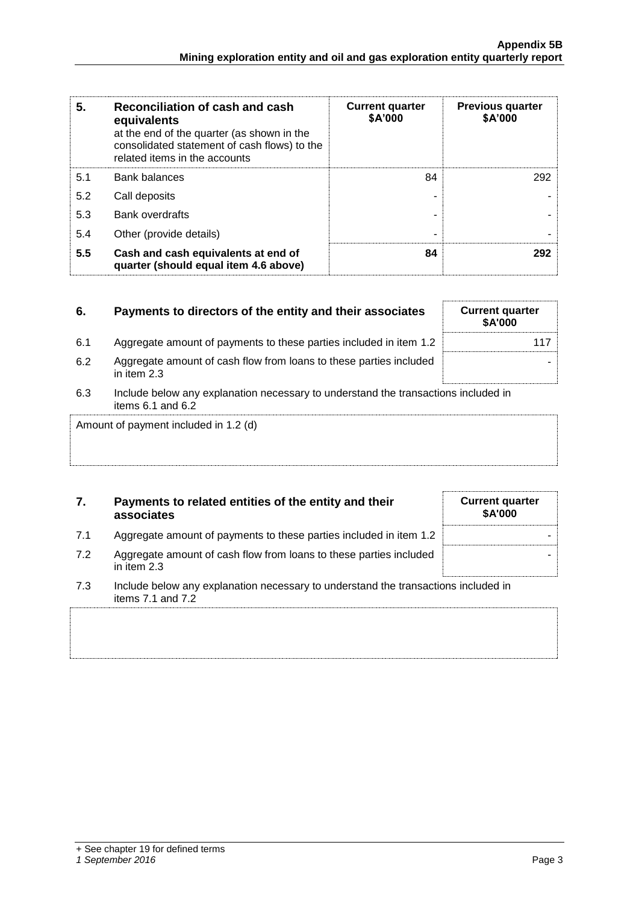| 5.  | Reconciliation of cash and cash<br>equivalents<br>at the end of the quarter (as shown in the<br>consolidated statement of cash flows) to the<br>related items in the accounts | <b>Current quarter</b><br>\$A'000 | <b>Previous quarter</b><br>\$A'000 |
|-----|-------------------------------------------------------------------------------------------------------------------------------------------------------------------------------|-----------------------------------|------------------------------------|
| 5.1 | <b>Bank balances</b>                                                                                                                                                          | 84                                | 292                                |
| 5.2 | Call deposits                                                                                                                                                                 |                                   |                                    |
| 5.3 | <b>Bank overdrafts</b>                                                                                                                                                        |                                   |                                    |
| 5.4 | Other (provide details)                                                                                                                                                       | ۰                                 |                                    |
| 5.5 | Cash and cash equivalents at end of<br>quarter (should equal item 4.6 above)                                                                                                  | 84                                | 292                                |

| 6.                                    | Payments to directors of the entity and their associates                                                    | <b>Current quarter</b><br><b>\$A'000</b> |  |
|---------------------------------------|-------------------------------------------------------------------------------------------------------------|------------------------------------------|--|
| 6.1                                   | Aggregate amount of payments to these parties included in item 1.2                                          | 117                                      |  |
| 6.2                                   | Aggregate amount of cash flow from loans to these parties included<br>in item 2.3                           |                                          |  |
| 6.3                                   | Include below any explanation necessary to understand the transactions included in<br>items $6.1$ and $6.2$ |                                          |  |
| Amount of payment included in 1.2 (d) |                                                                                                             |                                          |  |

### **7. Payments to related entities of the entity and their associates**

- 7.1 Aggregate amount of payments to these parties included in item 1.2
- 7.2 Aggregate amount of cash flow from loans to these parties included in item 2.3
- 7.3 Include below any explanation necessary to understand the transactions included in items 7.1 and 7.2

| <b>Current quarter</b><br>\$A'000 |  |
|-----------------------------------|--|
|                                   |  |
|                                   |  |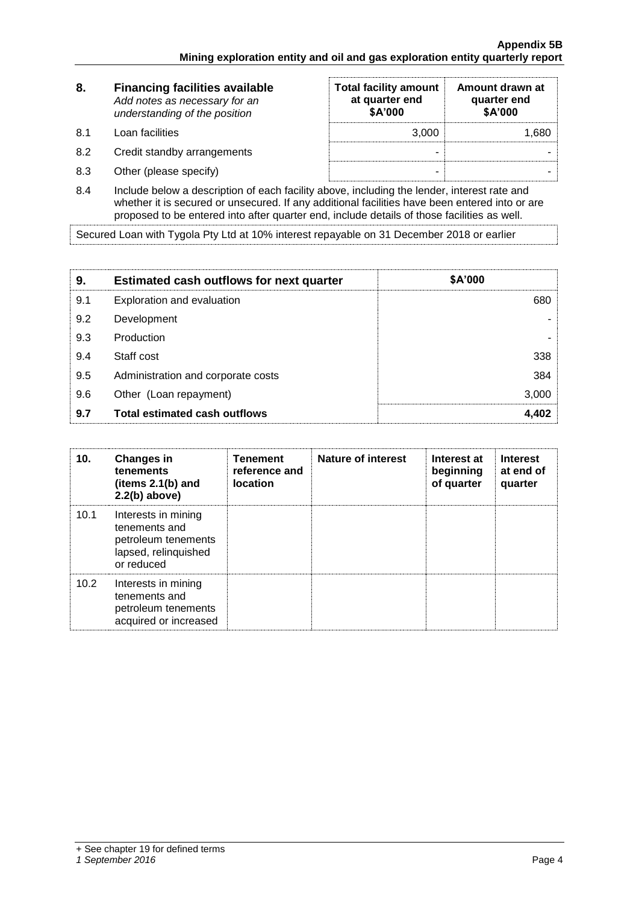| 8.   | <b>Financing facilities available</b><br>Add notes as necessary for an<br>understanding of the position | <b>Total facility amount</b><br>at quarter end<br>\$A'000 | Amount drawn at<br>quarter end<br>\$A'000 |  |
|------|---------------------------------------------------------------------------------------------------------|-----------------------------------------------------------|-------------------------------------------|--|
| -8.1 | Loan facilities                                                                                         | 3.000                                                     | 1.680                                     |  |
| 8.2  | Credit standby arrangements                                                                             | -                                                         |                                           |  |
| 8.3  | Other (please specify)                                                                                  | -                                                         |                                           |  |

8.4 Include below a description of each facility above, including the lender, interest rate and whether it is secured or unsecured. If any additional facilities have been entered into or are proposed to be entered into after quarter end, include details of those facilities as well.

Secured Loan with Tygola Pty Ltd at 10% interest repayable on 31 December 2018 or earlier

| 9.  | <b>Estimated cash outflows for next quarter</b> | \$A'000 |
|-----|-------------------------------------------------|---------|
| 9.1 | Exploration and evaluation                      | 680     |
| 9.2 | Development                                     |         |
| 9.3 | Production                                      |         |
| 9.4 | Staff cost                                      | 338     |
| 9.5 | Administration and corporate costs              | 384     |
| 9.6 | Other (Loan repayment)                          | 3,000   |
| 9.7 | <b>Total estimated cash outflows</b>            | 4.402   |

| 10.  | <b>Changes in</b><br>tenements<br>(items $2.1(b)$ and<br>$2.2(b)$ above)                          | <b>Tenement</b><br>reference and<br><b>location</b> | Nature of interest | Interest at<br>beginning<br>of quarter | <b>Interest</b><br>at end of<br>quarter |
|------|---------------------------------------------------------------------------------------------------|-----------------------------------------------------|--------------------|----------------------------------------|-----------------------------------------|
| 10.1 | Interests in mining<br>tenements and<br>petroleum tenements<br>lapsed, relinquished<br>or reduced |                                                     |                    |                                        |                                         |
| 10.2 | Interests in mining<br>tenements and<br>petroleum tenements<br>acquired or increased              |                                                     |                    |                                        |                                         |